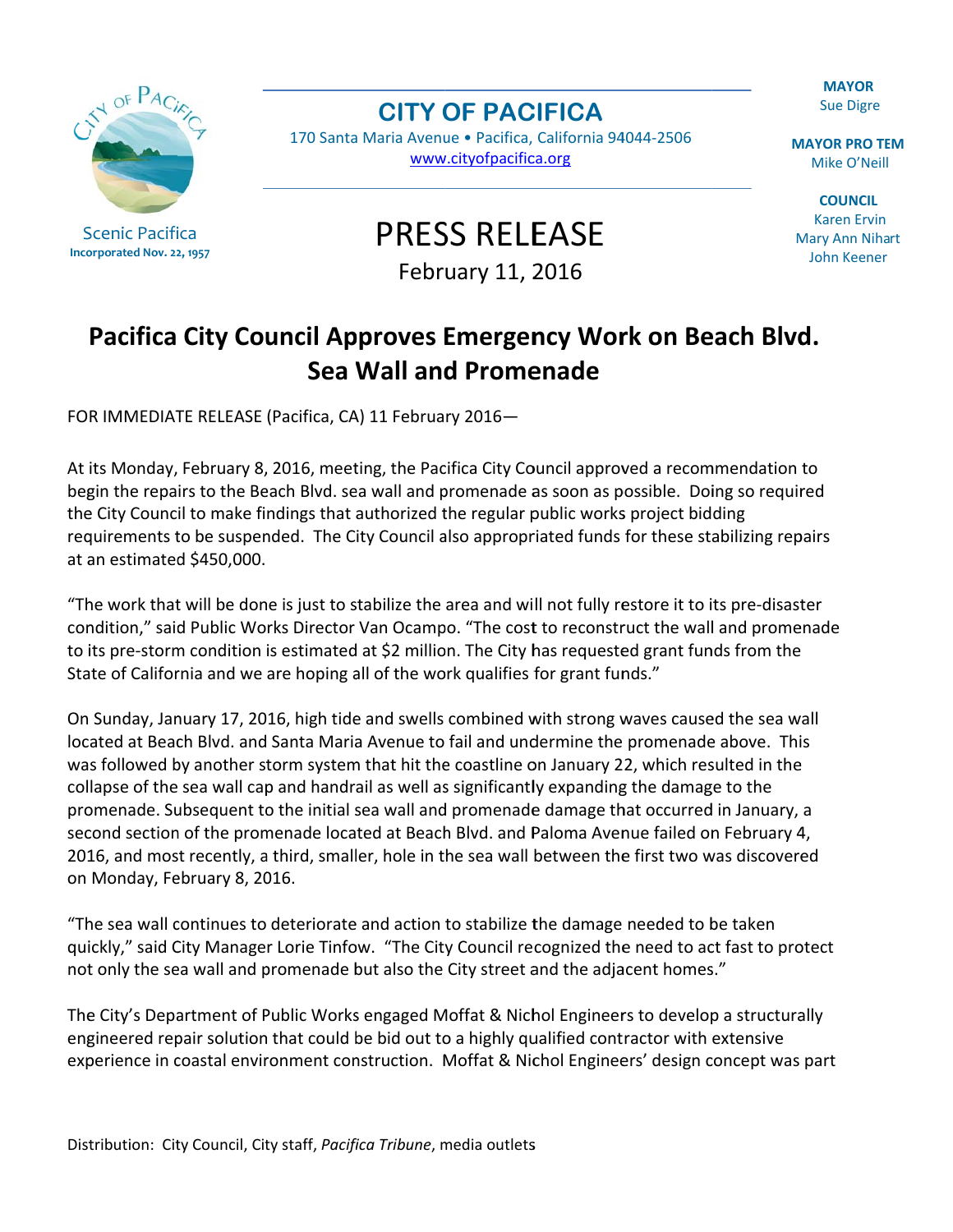**MAYOR Sue Digre** 

**MAYOR PRO TEM** Mike O'Neill

**COUNCIL Karen Ervin** Mary Ann Nihart John Keener



**Scenic Pacifica** Incorporated Nov. 22, 1957

## **CITY OF PACIFICA**

170 Santa Maria Avenue · Pacifica, California 94044-2506 www.cityofpacifica.org

**PRESS RELEASE** 

February 11, 2016

## Pacifica City Council Approves Emergency Work on Beach Blvd. Sea Wall and Promenade

FOR IMMEDIATE RELEASE (Pacifica, CA) 11 February 2016-

At its Monday, February 8, 2016, meeting, the Pacifica City Council approved a recommendation to begin the repairs to the Beach Blvd. sea wall and promenade as soon as possible. Doing so required the City Council to make findings that authorized the regular public works project bidding requirements to be suspended. The City Council also appropriated funds for these stabilizing repairs at an estimated \$450,000.

"The work that will be done is just to stabilize the area and will not fully restore it to its pre-disaster condition," said Public Works Director Van Ocampo. "The cost to reconstruct the wall and promenade to its pre-storm condition is estimated at \$2 million. The City has requested grant funds from the State of California and we are hoping all of the work qualifies for grant funds."

On Sunday, January 17, 2016, high tide and swells combined with strong waves caused the sea wall located at Beach Blvd. and Santa Maria Avenue to fail and undermine the promenade above. This was followed by another storm system that hit the coastline on January 22, which resulted in the collapse of the sea wall cap and handrail as well as significantly expanding the damage to the promenade. Subsequent to the initial sea wall and promenade damage that occurred in January, a second section of the promenade located at Beach Blvd. and Paloma Avenue failed on February 4, 2016, and most recently, a third, smaller, hole in the sea wall between the first two was discovered on Monday, February 8, 2016.

"The sea wall continues to deteriorate and action to stabilize the damage needed to be taken quickly," said City Manager Lorie Tinfow. "The City Council recognized the need to act fast to protect not only the sea wall and promenade but also the City street and the adjacent homes."

The City's Department of Public Works engaged Moffat & Nichol Engineers to develop a structurally engineered repair solution that could be bid out to a highly qualified contractor with extensive experience in coastal environment construction. Moffat & Nichol Engineers' design concept was part